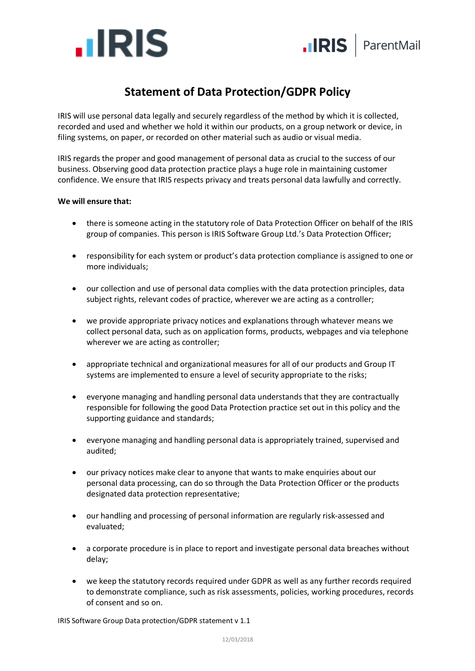

## **Statement of Data Protection/GDPR Policy**

IRIS will use personal data legally and securely regardless of the method by which it is collected, recorded and used and whether we hold it within our products, on a group network or device, in filing systems, on paper, or recorded on other material such as audio or visual media.

IRIS regards the proper and good management of personal data as crucial to the success of our business. Observing good data protection practice plays a huge role in maintaining customer confidence. We ensure that IRIS respects privacy and treats personal data lawfully and correctly.

## **We will ensure that:**

- there is someone acting in the statutory role of Data Protection Officer on behalf of the IRIS group of companies. This person is IRIS Software Group Ltd.'s Data Protection Officer;
- responsibility for each system or product's data protection compliance is assigned to one or more individuals;
- our collection and use of personal data complies with the data protection principles, data subject rights, relevant codes of practice, wherever we are acting as a controller;
- we provide appropriate privacy notices and explanations through whatever means we collect personal data, such as on application forms, products, webpages and via telephone wherever we are acting as controller;
- appropriate technical and organizational measures for all of our products and Group IT systems are implemented to ensure a level of security appropriate to the risks;
- everyone managing and handling personal data understands that they are contractually responsible for following the good Data Protection practice set out in this policy and the supporting guidance and standards;
- everyone managing and handling personal data is appropriately trained, supervised and audited;
- our privacy notices make clear to anyone that wants to make enquiries about our personal data processing, can do so through the Data Protection Officer or the products designated data protection representative;
- our handling and processing of personal information are regularly risk-assessed and evaluated;
- a corporate procedure is in place to report and investigate personal data breaches without delay;
- we keep the statutory records required under GDPR as well as any further records required to demonstrate compliance, such as risk assessments, policies, working procedures, records of consent and so on.